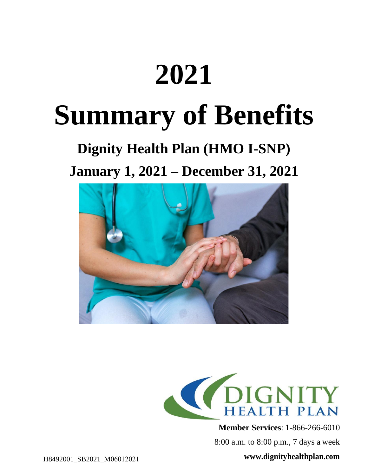## **2021**

## **Summary of Benefits**

## **Dignity Health Plan (HMO I-SNP) January 1, 2021 – December 31, 2021**





**Member Services**: 1-866-266-6010

8:00 a.m. to 8:00 p.m., 7 days a week

**www.dignityhealthplan.com**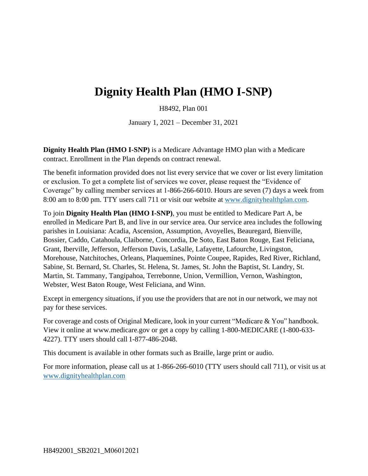## **Dignity Health Plan (HMO I-SNP)**

H8492, Plan 001

January 1, 2021 – December 31, 2021

**Dignity Health Plan (HMO I-SNP)** is a Medicare Advantage HMO plan with a Medicare contract. Enrollment in the Plan depends on contract renewal.

The benefit information provided does not list every service that we cover or list every limitation or exclusion. To get a complete list of services we cover, please request the "Evidence of Coverage" by calling member services at 1-866-266-6010. Hours are seven (7) days a week from 8:00 am to 8:00 pm. TTY users call 711 or visit our website at www.dignityhealthplan.com.

To join **Dignity Health Plan (HMO I-SNP)**, you must be entitled to Medicare Part A, be enrolled in Medicare Part B, and live in our service area. Our service area includes the following parishes in Louisiana: Acadia, Ascension, Assumption, Avoyelles, Beauregard, Bienville, Bossier, Caddo, Catahoula, Claiborne, Concordia, De Soto, East Baton Rouge, East Feliciana, Grant, Iberville, Jefferson, Jefferson Davis, LaSalle, Lafayette, Lafourche, Livingston, Morehouse, Natchitoches, Orleans, Plaquemines, Pointe Coupee, Rapides, Red River, Richland, Sabine, St. Bernard, St. Charles, St. Helena, St. James, St. John the Baptist, St. Landry, St. Martin, St. Tammany, Tangipahoa, Terrebonne, Union, Vermillion, Vernon, Washington, Webster, West Baton Rouge, West Feliciana, and Winn.

Except in emergency situations, if you use the providers that are not in our network, we may not pay for these services.

For coverage and costs of Original Medicare, look in your current "Medicare & You" handbook. View it online at www.medicare.gov or get a copy by calling 1-800-MEDICARE (1-800-633- 4227). TTY users should call 1-877-486-2048.

This document is available in other formats such as Braille, large print or audio.

For more information, please call us at 1-866-266-6010 (TTY users should call 711), or visit us at www.dignityhealthplan.com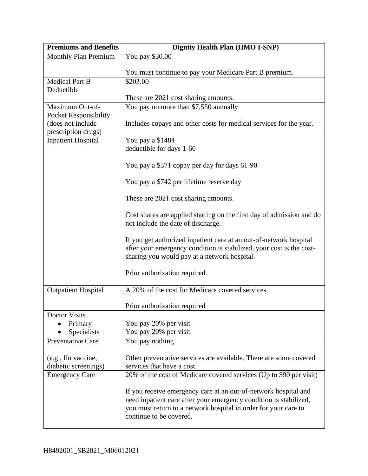| <b>Premiums and Benefits</b>                    | <b>Dignity Health Plan (HMO I-SNP)</b>                                                                                                                                                                                             |  |
|-------------------------------------------------|------------------------------------------------------------------------------------------------------------------------------------------------------------------------------------------------------------------------------------|--|
| <b>Monthly Plan Premium</b>                     | You pay \$30.00                                                                                                                                                                                                                    |  |
|                                                 | You must continue to pay your Medicare Part B premium.                                                                                                                                                                             |  |
| <b>Medical Part B</b><br>Deductible             | \$203.00                                                                                                                                                                                                                           |  |
|                                                 | These are 2021 cost sharing amounts.                                                                                                                                                                                               |  |
| Maximum Out-of-<br><b>Pocket Responsibility</b> | You pay no more than \$7,550 annually                                                                                                                                                                                              |  |
| (does not include<br>prescription drugs)        | Includes copays and other costs for medical services for the year.                                                                                                                                                                 |  |
| <b>Inpatient Hospital</b>                       | You pay a \$1484                                                                                                                                                                                                                   |  |
|                                                 | deductible for days 1-60                                                                                                                                                                                                           |  |
|                                                 | You pay a \$371 copay per day for days 61-90                                                                                                                                                                                       |  |
|                                                 | You pay a \$742 per lifetime reserve day                                                                                                                                                                                           |  |
|                                                 | These are 2021 cost sharing amounts.                                                                                                                                                                                               |  |
|                                                 | Cost shares are applied starting on the first day of admission and do<br>not include the date of discharge.                                                                                                                        |  |
|                                                 | If you get authorized inpatient care at an out-of-network hospital<br>after your emergency condition is stabilized, your cost is the cost-<br>sharing you would pay at a network hospital.                                         |  |
|                                                 | Prior authorization required.                                                                                                                                                                                                      |  |
| <b>Outpatient Hospital</b>                      | A 20% of the cost for Medicare covered services                                                                                                                                                                                    |  |
|                                                 | Prior authorization required                                                                                                                                                                                                       |  |
| <b>Doctor Visits</b>                            |                                                                                                                                                                                                                                    |  |
| Primary                                         | You pay 20% per visit                                                                                                                                                                                                              |  |
| Specialists                                     | You pay 20% per visit                                                                                                                                                                                                              |  |
| <b>Preventative Care</b>                        | You pay nothing                                                                                                                                                                                                                    |  |
| (e.g., flu vaccine,                             | Other preventative services are available. There are some covered                                                                                                                                                                  |  |
| diabetic screenings)                            | services that have a cost.                                                                                                                                                                                                         |  |
| <b>Emergency Care</b>                           | 20% of the cost of Medicare covered services (Up to \$90 per visit)                                                                                                                                                                |  |
|                                                 | If you receive emergency care at an out-of-network hospital and<br>need inpatient care after your emergency condition is stabilized,<br>you must return to a network hospital in order for your care to<br>continue to be covered. |  |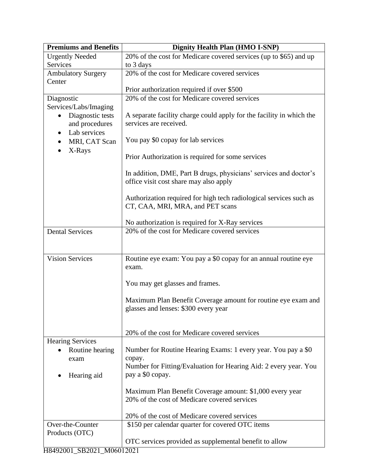| <b>Premiums and Benefits</b>                                                                          | <b>Dignity Health Plan (HMO I-SNP)</b>                                                                      |  |  |
|-------------------------------------------------------------------------------------------------------|-------------------------------------------------------------------------------------------------------------|--|--|
| <b>Urgently Needed</b>                                                                                | 20% of the cost for Medicare covered services (up to \$65) and up                                           |  |  |
| Services                                                                                              | to 3 days                                                                                                   |  |  |
| <b>Ambulatory Surgery</b><br>Center                                                                   | 20% of the cost for Medicare covered services                                                               |  |  |
|                                                                                                       | Prior authorization required if over \$500                                                                  |  |  |
| Diagnostic                                                                                            | 20% of the cost for Medicare covered services                                                               |  |  |
| Services/Labs/Imaging<br>Diagnostic tests<br>$\bullet$<br>and procedures<br>Lab services<br>$\bullet$ | A separate facility charge could apply for the facility in which the<br>services are received.              |  |  |
| MRI, CAT Scan<br>X-Rays                                                                               | You pay \$0 copay for lab services                                                                          |  |  |
|                                                                                                       | Prior Authorization is required for some services                                                           |  |  |
|                                                                                                       | In addition, DME, Part B drugs, physicians' services and doctor's<br>office visit cost share may also apply |  |  |
|                                                                                                       | Authorization required for high tech radiological services such as<br>CT, CAA, MRI, MRA, and PET scans      |  |  |
|                                                                                                       | No authorization is required for X-Ray services                                                             |  |  |
| <b>Dental Services</b>                                                                                | 20% of the cost for Medicare covered services                                                               |  |  |
|                                                                                                       |                                                                                                             |  |  |
| <b>Vision Services</b>                                                                                | Routine eye exam: You pay a \$0 copay for an annual routine eye<br>exam.                                    |  |  |
|                                                                                                       | You may get glasses and frames.                                                                             |  |  |
|                                                                                                       | Maximum Plan Benefit Coverage amount for routine eye exam and<br>glasses and lenses: \$300 every year       |  |  |
|                                                                                                       | 20% of the cost for Medicare covered services                                                               |  |  |
| <b>Hearing Services</b><br>Routine hearing<br>exam                                                    | Number for Routine Hearing Exams: 1 every year. You pay a \$0<br>copay.                                     |  |  |
| Hearing aid                                                                                           | Number for Fitting/Evaluation for Hearing Aid: 2 every year. You<br>pay a \$0 copay.                        |  |  |
|                                                                                                       | Maximum Plan Benefit Coverage amount: \$1,000 every year<br>20% of the cost of Medicare covered services    |  |  |
|                                                                                                       | 20% of the cost of Medicare covered services                                                                |  |  |
| Over-the-Counter                                                                                      | \$150 per calendar quarter for covered OTC items                                                            |  |  |
| Products (OTC)                                                                                        |                                                                                                             |  |  |
|                                                                                                       | OTC services provided as supplemental benefit to allow                                                      |  |  |
| H8492001_SB2021_M06012021                                                                             |                                                                                                             |  |  |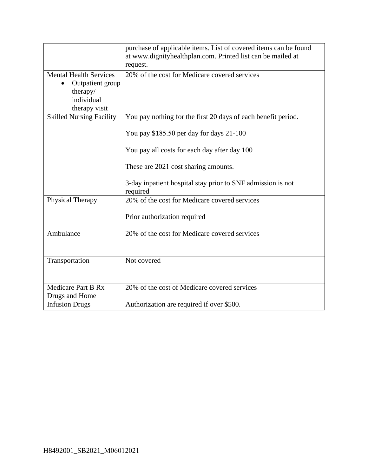|                                                                                              | purchase of applicable items. List of covered items can be found<br>at www.dignityhealthplan.com. Printed list can be mailed at<br>request. |
|----------------------------------------------------------------------------------------------|---------------------------------------------------------------------------------------------------------------------------------------------|
| <b>Mental Health Services</b><br>Outpatient group<br>therapy/<br>individual<br>therapy visit | 20% of the cost for Medicare covered services                                                                                               |
| <b>Skilled Nursing Facility</b>                                                              | You pay nothing for the first 20 days of each benefit period.<br>You pay \$185.50 per day for days 21-100                                   |
|                                                                                              | You pay all costs for each day after day 100<br>These are 2021 cost sharing amounts.                                                        |
|                                                                                              | 3-day inpatient hospital stay prior to SNF admission is not<br>required                                                                     |
| Physical Therapy                                                                             | 20% of the cost for Medicare covered services<br>Prior authorization required                                                               |
| Ambulance                                                                                    | 20% of the cost for Medicare covered services                                                                                               |
| Transportation                                                                               | Not covered                                                                                                                                 |
| <b>Medicare Part B Rx</b><br>Drugs and Home                                                  | 20% of the cost of Medicare covered services                                                                                                |
| <b>Infusion Drugs</b>                                                                        | Authorization are required if over \$500.                                                                                                   |